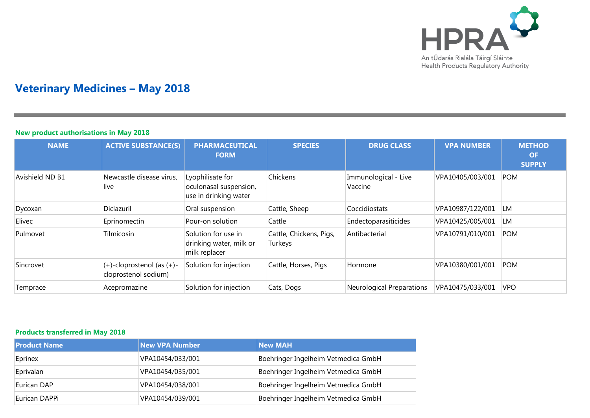

# **Veterinary Medicines – May 2018**

#### **New product authorisations in May 2018**

| <b>NAME</b>     | <b>ACTIVE SUBSTANCE(S)</b>                              | <b>PHARMACEUTICAL</b><br><b>FORM</b>                                | <b>SPECIES</b>                     | <b>DRUG CLASS</b>                | <b>VPA NUMBER</b> | <b>METHOD</b><br><b>OF</b><br><b>SUPPLY</b> |
|-----------------|---------------------------------------------------------|---------------------------------------------------------------------|------------------------------------|----------------------------------|-------------------|---------------------------------------------|
| Avishield ND B1 | Newcastle disease virus,<br>live                        | Lyophilisate for<br>oculonasal suspension,<br>use in drinking water | Chickens                           | Immunological - Live<br>Vaccine  | VPA10405/003/001  | <b>POM</b>                                  |
| Dycoxan         | Diclazuril                                              | Oral suspension                                                     | Cattle, Sheep                      | Coccidiostats                    | VPA10987/122/001  | <b>LM</b>                                   |
| Elivec          | Eprinomectin                                            | Pour-on solution                                                    | Cattle                             | Endectoparasiticides             | VPA10425/005/001  | LM                                          |
| Pulmovet        | Tilmicosin                                              | Solution for use in<br>drinking water, milk or<br>milk replacer     | Cattle, Chickens, Pigs,<br>Turkeys | Antibacterial                    | VPA10791/010/001  | <b>POM</b>                                  |
| Sincrovet       | $(+)$ -cloprostenol (as $(+)$ -<br>cloprostenol sodium) | Solution for injection                                              | Cattle, Horses, Pigs               | Hormone                          | VPA10380/001/001  | <b>POM</b>                                  |
| Temprace        | Acepromazine                                            | Solution for injection                                              | Cats, Dogs                         | <b>Neurological Preparations</b> | VPA10475/033/001  | <b>VPO</b>                                  |

### **Products transferred in May 2018**

| <b>Product Name</b> | <b>New VPA Number</b> | <b>New MAH</b>                      |
|---------------------|-----------------------|-------------------------------------|
| Eprinex             | VPA10454/033/001      | Boehringer Ingelheim Vetmedica GmbH |
| Eprivalan           | VPA10454/035/001      | Boehringer Ingelheim Vetmedica GmbH |
| Eurican DAP         | VPA10454/038/001      | Boehringer Ingelheim Vetmedica GmbH |
| Eurican DAPPi       | VPA10454/039/001      | Boehringer Ingelheim Vetmedica GmbH |